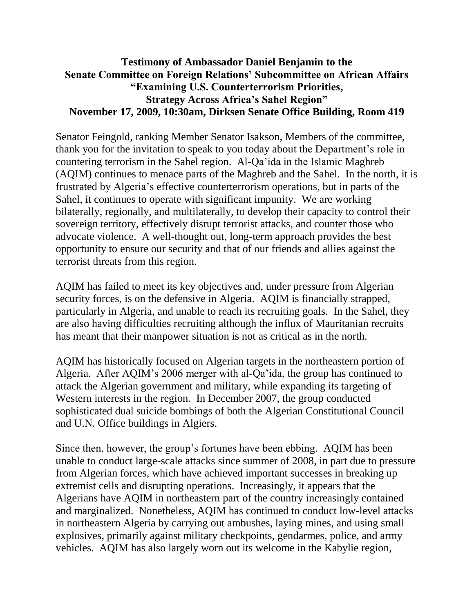## **Testimony of Ambassador Daniel Benjamin to the Senate Committee on Foreign Relations' Subcommittee on African Affairs "Examining U.S. Counterterrorism Priorities, Strategy Across Africa's Sahel Region" November 17, 2009, 10:30am, Dirksen Senate Office Building, Room 419**

Senator Feingold, ranking Member Senator Isakson, Members of the committee, thank you for the invitation to speak to you today about the Department's role in countering terrorism in the Sahel region. Al-Qa'ida in the Islamic Maghreb (AQIM) continues to menace parts of the Maghreb and the Sahel. In the north, it is frustrated by Algeria's effective counterterrorism operations, but in parts of the Sahel, it continues to operate with significant impunity. We are working bilaterally, regionally, and multilaterally, to develop their capacity to control their sovereign territory, effectively disrupt terrorist attacks, and counter those who advocate violence. A well-thought out, long-term approach provides the best opportunity to ensure our security and that of our friends and allies against the terrorist threats from this region.

AQIM has failed to meet its key objectives and, under pressure from Algerian security forces, is on the defensive in Algeria. AQIM is financially strapped, particularly in Algeria, and unable to reach its recruiting goals. In the Sahel, they are also having difficulties recruiting although the influx of Mauritanian recruits has meant that their manpower situation is not as critical as in the north.

AQIM has historically focused on Algerian targets in the northeastern portion of Algeria. After AQIM's 2006 merger with al-Qa'ida, the group has continued to attack the Algerian government and military, while expanding its targeting of Western interests in the region. In December 2007, the group conducted sophisticated dual suicide bombings of both the Algerian Constitutional Council and U.N. Office buildings in Algiers.

Since then, however, the group's fortunes have been ebbing. AQIM has been unable to conduct large-scale attacks since summer of 2008, in part due to pressure from Algerian forces, which have achieved important successes in breaking up extremist cells and disrupting operations. Increasingly, it appears that the Algerians have AQIM in northeastern part of the country increasingly contained and marginalized. Nonetheless, AQIM has continued to conduct low-level attacks in northeastern Algeria by carrying out ambushes, laying mines, and using small explosives, primarily against military checkpoints, gendarmes, police, and army vehicles. AQIM has also largely worn out its welcome in the Kabylie region,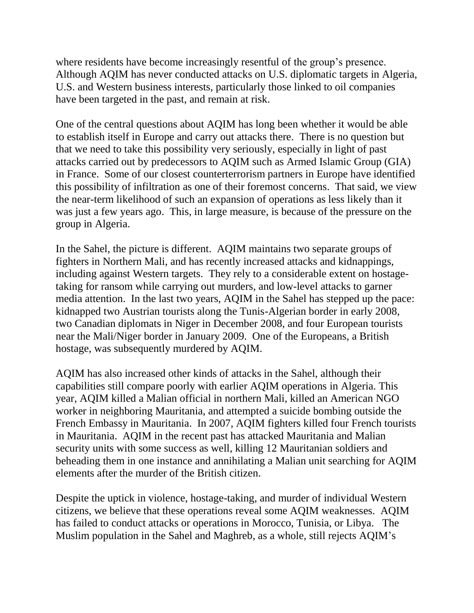where residents have become increasingly resentful of the group's presence. Although AQIM has never conducted attacks on U.S. diplomatic targets in Algeria, U.S. and Western business interests, particularly those linked to oil companies have been targeted in the past, and remain at risk.

One of the central questions about AQIM has long been whether it would be able to establish itself in Europe and carry out attacks there. There is no question but that we need to take this possibility very seriously, especially in light of past attacks carried out by predecessors to AQIM such as Armed Islamic Group (GIA) in France. Some of our closest counterterrorism partners in Europe have identified this possibility of infiltration as one of their foremost concerns. That said, we view the near-term likelihood of such an expansion of operations as less likely than it was just a few years ago. This, in large measure, is because of the pressure on the group in Algeria.

In the Sahel, the picture is different. AQIM maintains two separate groups of fighters in Northern Mali, and has recently increased attacks and kidnappings, including against Western targets. They rely to a considerable extent on hostagetaking for ransom while carrying out murders, and low-level attacks to garner media attention. In the last two years, AQIM in the Sahel has stepped up the pace: kidnapped two Austrian tourists along the Tunis-Algerian border in early 2008, two Canadian diplomats in Niger in December 2008, and four European tourists near the Mali/Niger border in January 2009. One of the Europeans, a British hostage, was subsequently murdered by AQIM.

AQIM has also increased other kinds of attacks in the Sahel, although their capabilities still compare poorly with earlier AQIM operations in Algeria. This year, AQIM killed a Malian official in northern Mali, killed an American NGO worker in neighboring Mauritania, and attempted a suicide bombing outside the French Embassy in Mauritania. In 2007, AQIM fighters killed four French tourists in Mauritania. AQIM in the recent past has attacked Mauritania and Malian security units with some success as well, killing 12 Mauritanian soldiers and beheading them in one instance and annihilating a Malian unit searching for AQIM elements after the murder of the British citizen.

Despite the uptick in violence, hostage-taking, and murder of individual Western citizens, we believe that these operations reveal some AQIM weaknesses. AQIM has failed to conduct attacks or operations in Morocco, Tunisia, or Libya. The Muslim population in the Sahel and Maghreb, as a whole, still rejects AQIM's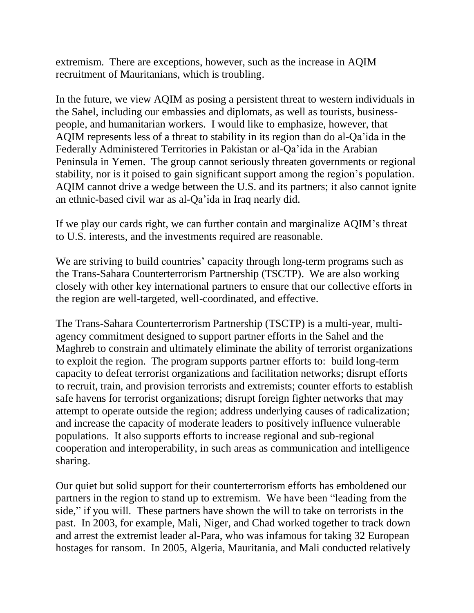extremism. There are exceptions, however, such as the increase in AQIM recruitment of Mauritanians, which is troubling.

In the future, we view AQIM as posing a persistent threat to western individuals in the Sahel, including our embassies and diplomats, as well as tourists, businesspeople, and humanitarian workers. I would like to emphasize, however, that AQIM represents less of a threat to stability in its region than do al-Qa'ida in the Federally Administered Territories in Pakistan or al-Qa'ida in the Arabian Peninsula in Yemen. The group cannot seriously threaten governments or regional stability, nor is it poised to gain significant support among the region's population. AQIM cannot drive a wedge between the U.S. and its partners; it also cannot ignite an ethnic-based civil war as al-Qa'ida in Iraq nearly did.

If we play our cards right, we can further contain and marginalize AQIM's threat to U.S. interests, and the investments required are reasonable.

We are striving to build countries' capacity through long-term programs such as the Trans-Sahara Counterterrorism Partnership (TSCTP). We are also working closely with other key international partners to ensure that our collective efforts in the region are well-targeted, well-coordinated, and effective.

The Trans-Sahara Counterterrorism Partnership (TSCTP) is a multi-year, multiagency commitment designed to support partner efforts in the Sahel and the Maghreb to constrain and ultimately eliminate the ability of terrorist organizations to exploit the region. The program supports partner efforts to: build long-term capacity to defeat terrorist organizations and facilitation networks; disrupt efforts to recruit, train, and provision terrorists and extremists; counter efforts to establish safe havens for terrorist organizations; disrupt foreign fighter networks that may attempt to operate outside the region; address underlying causes of radicalization; and increase the capacity of moderate leaders to positively influence vulnerable populations. It also supports efforts to increase regional and sub-regional cooperation and interoperability, in such areas as communication and intelligence sharing.

Our quiet but solid support for their counterterrorism efforts has emboldened our partners in the region to stand up to extremism. We have been "leading from the side," if you will. These partners have shown the will to take on terrorists in the past. In 2003, for example, Mali, Niger, and Chad worked together to track down and arrest the extremist leader al-Para, who was infamous for taking 32 European hostages for ransom. In 2005, Algeria, Mauritania, and Mali conducted relatively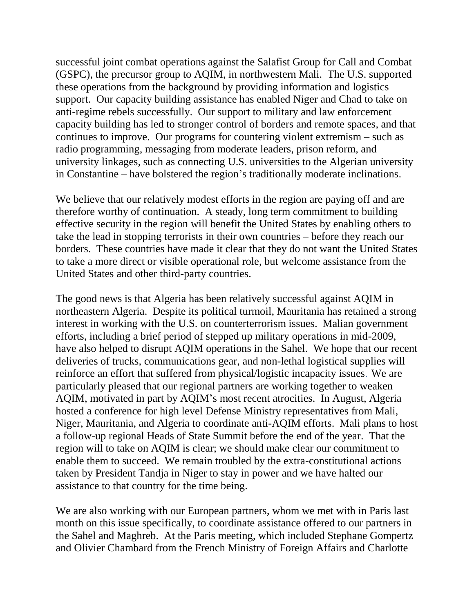successful joint combat operations against the Salafist Group for Call and Combat (GSPC), the precursor group to AQIM, in northwestern Mali. The U.S. supported these operations from the background by providing information and logistics support. Our capacity building assistance has enabled Niger and Chad to take on anti-regime rebels successfully. Our support to military and law enforcement capacity building has led to stronger control of borders and remote spaces, and that continues to improve. Our programs for countering violent extremism – such as radio programming, messaging from moderate leaders, prison reform, and university linkages, such as connecting U.S. universities to the Algerian university in Constantine – have bolstered the region's traditionally moderate inclinations.

We believe that our relatively modest efforts in the region are paying off and are therefore worthy of continuation. A steady, long term commitment to building effective security in the region will benefit the United States by enabling others to take the lead in stopping terrorists in their own countries – before they reach our borders. These countries have made it clear that they do not want the United States to take a more direct or visible operational role, but welcome assistance from the United States and other third-party countries.

The good news is that Algeria has been relatively successful against AQIM in northeastern Algeria. Despite its political turmoil, Mauritania has retained a strong interest in working with the U.S. on counterterrorism issues. Malian government efforts, including a brief period of stepped up military operations in mid-2009, have also helped to disrupt AQIM operations in the Sahel. We hope that our recent deliveries of trucks, communications gear, and non-lethal logistical supplies will reinforce an effort that suffered from physical/logistic incapacity issues. We are particularly pleased that our regional partners are working together to weaken AQIM, motivated in part by AQIM's most recent atrocities. In August, Algeria hosted a conference for high level Defense Ministry representatives from Mali, Niger, Mauritania, and Algeria to coordinate anti-AQIM efforts. Mali plans to host a follow-up regional Heads of State Summit before the end of the year. That the region will to take on AQIM is clear; we should make clear our commitment to enable them to succeed. We remain troubled by the extra-constitutional actions taken by President Tandja in Niger to stay in power and we have halted our assistance to that country for the time being.

We are also working with our European partners, whom we met with in Paris last month on this issue specifically, to coordinate assistance offered to our partners in the Sahel and Maghreb. At the Paris meeting, which included Stephane Gompertz and Olivier Chambard from the French Ministry of Foreign Affairs and Charlotte